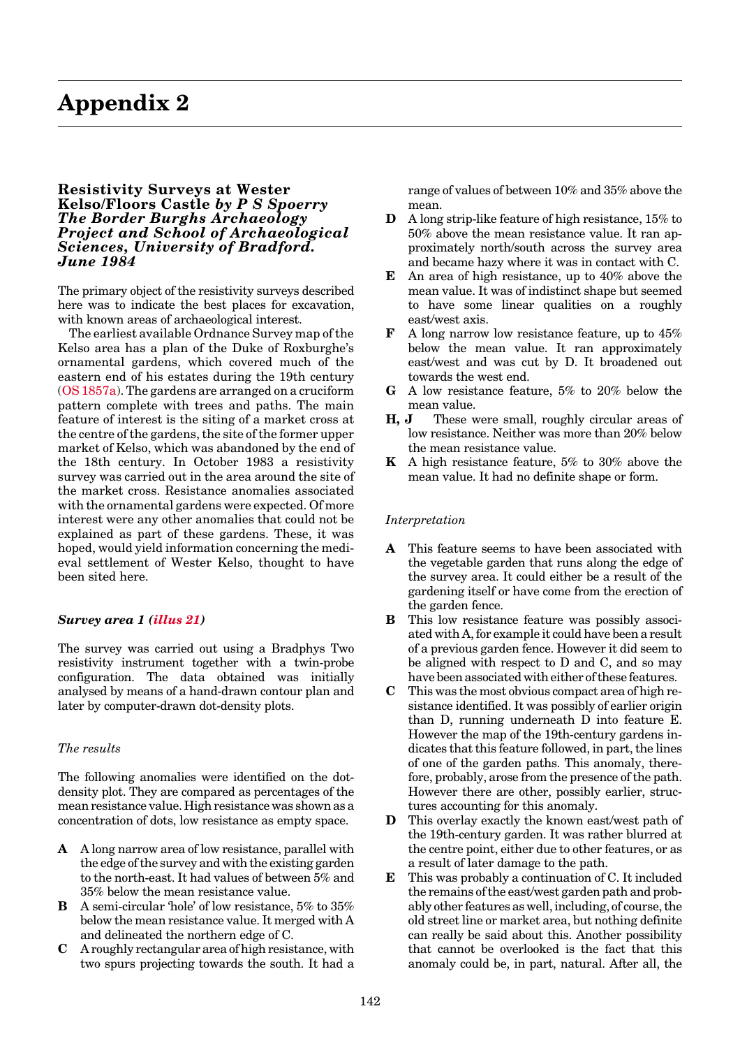# **Resistivity Surveys at Wester Kelso/Floors Castle** *by P S Spoerry The Border Burghs Archaeology Project and School of Archaeological Sciences, University of Bradford. June 1984*

The primary object of the resistivity surveys described here was to indicate the best places for excavation, with known areas of archaeological interest.

The earliest available Ordnance Survey map of the Kelso area has a plan of the Duke of Roxburghe's ornamental gardens, which covered much of the eastern end of his estates during the 19th century [\(OS 1857a\). T](#page-3-0)he gardens are arranged on a cruciform pattern complete with trees and paths. The main feature of interest is the siting of a market cross at the centre of the gardens, the site of the former upper market of Kelso, which was abandoned by the end of the 18th century. In October 1983 a resistivity survey was carried out in the area around the site of the market cross. Resistance anomalies associated with the ornamental gardens were expected. Of more interest were any other anomalies that could not be explained as part of these gardens. These, it was hoped, would yield information concerning the medieval settlement of Wester Kelso, thought to have been sited here.

# *Survey area [1 \(illus 21\)](#page-2-0)*

The survey was carried out using a Bradphys Two resistivity instrument together with a twin-probe configuration. The data obtained was initially analysed by means of a hand-drawn contour plan and later by computer-drawn dot-density plots.

# *The results*

The following anomalies were identified on the dotdensity plot. They are compared as percentages of the mean resistance value. High resistance was shown as a concentration of dots, low resistance as empty space.

- **A** A long narrow area of low resistance, parallel with the edge of the survey and with the existing garden to the north-east. It had values of between 5% and 35% below the mean resistance value.
- **B** A semi-circular 'hole' of low resistance, 5% to 35% below the mean resistance value. It merged with A and delineated the northern edge of C.
- **C** A roughly rectangular area of high resistance, with two spurs projecting towards the south. It had a

range of values of between 10% and 35% above the mean.

- **D** A long strip-like feature of high resistance, 15% to 50% above the mean resistance value. It ran approximately north/south across the survey area and became hazy where it was in contact with C.
- **E** An area of high resistance, up to 40% above the mean value. It was of indistinct shape but seemed to have some linear qualities on a roughly east/west axis.
- **F** A long narrow low resistance feature, up to 45% below the mean value. It ran approximately east/west and was cut by D. It broadened out towards the west end.
- **G** A low resistance feature, 5% to 20% below the mean value.
- **H, J** These were small, roughly circular areas of low resistance. Neither was more than 20% below the mean resistance value.
- **K** A high resistance feature, 5% to 30% above the mean value. It had no definite shape or form.

### *Interpretation*

- **A** This feature seems to have been associated with the vegetable garden that runs along the edge of the survey area. It could either be a result of the gardening itself or have come from the erection of the garden fence.
- **B** This low resistance feature was possibly associated with A, for example it could have been a result of a previous garden fence. However it did seem to be aligned with respect to D and C, and so may have been associated with either of these features.
- **C** This was the most obvious compact area of high resistance identified. It was possibly of earlier origin than D, running underneath D into feature E. However the map of the 19th-century gardens indicates that this feature followed, in part, the lines of one of the garden paths. This anomaly, therefore, probably, arose from the presence of the path. However there are other, possibly earlier, structures accounting for this anomaly.
- **D** This overlay exactly the known east/west path of the 19th-century garden. It was rather blurred at the centre point, either due to other features, or as a result of later damage to the path.
- **E** This was probably a continuation of C. It included the remains of the east/west garden path and probably other features as well, including, of course, the old street line or market area, but nothing definite can really be said about this. Another possibility that cannot be overlooked is the fact that this anomaly could be, in part, natural. After all, the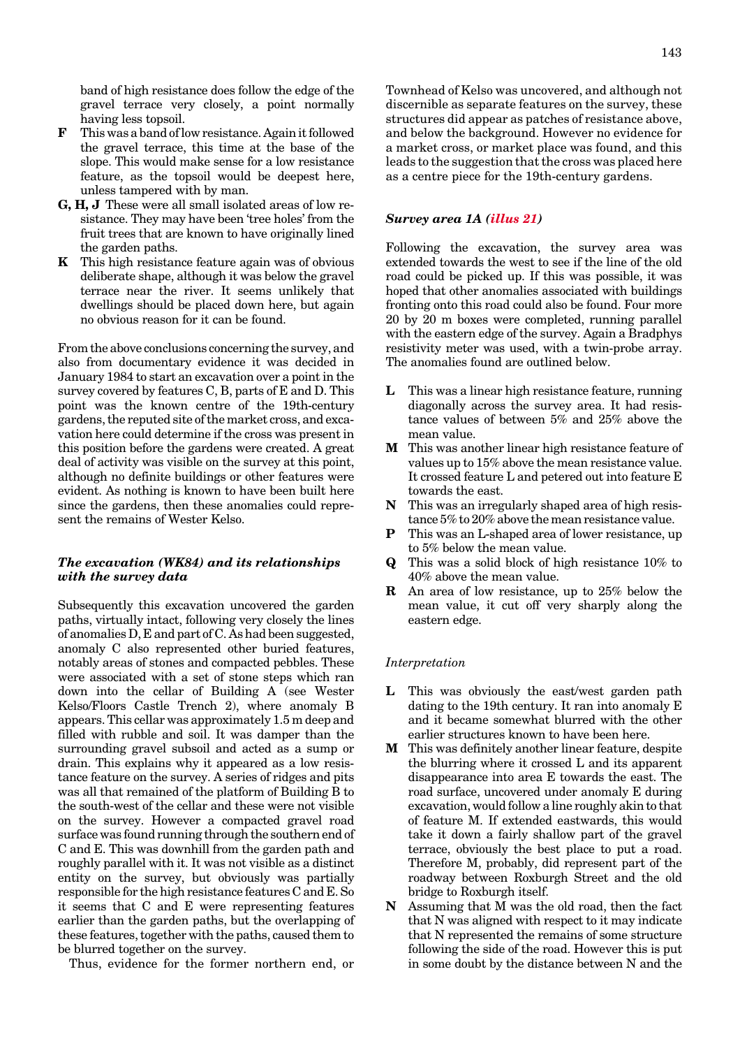band of high resistance does follow the edge of the gravel terrace very closely, a point normally having less topsoil.

- **F** This was a band of low resistance. Again it followed the gravel terrace, this time at the base of the slope. This would make sense for a low resistance feature, as the topsoil would be deepest here, unless tampered with by man.
- **G, H, J** These were all small isolated areas of low resistance. They may have been 'tree holes' from the fruit trees that are known to have originally lined the garden paths.
- **K** This high resistance feature again was of obvious deliberate shape, although it was below the gravel terrace near the river. It seems unlikely that dwellings should be placed down here, but again no obvious reason for it can be found.

From the above conclusions concerning the survey, and also from documentary evidence it was decided in January 1984 to start an excavation over a point in the survey covered by features C, B, parts of E and D. This point was the known centre of the 19th-century gardens, the reputed site of the market cross, and excavation here could determine if the cross was present in this position before the gardens were created. A great deal of activity was visible on the survey at this point, although no definite buildings or other features were evident. As nothing is known to have been built here since the gardens, then these anomalies could represent the remains of Wester Kelso.

# *The excavation (WK84) and its relationships with the survey data*

Subsequently this excavation uncovered the garden paths, virtually intact, following very closely the lines of anomalies D, E and part of C. As had been suggested, anomaly Calso represented other buried features, notably areas of stones and compacted pebbles. These were associated with a set of stone steps which ran down into the cellar of Building A (see Wester Kelso/Floors Castle Trench 2), where anomaly B appears. This cellar was approximately 1.5 m deep and filled with rubble and soil. It was damper than the surrounding gravel subsoil and acted as a sump or drain. This explains why it appeared as a low resistance feature on the survey. A series of ridges and pits was all that remained of the platform of Building B to the south-west of the cellar and these were not visible on the survey. However a compacted gravel road surface was found running through the southern end of Cand E. This was downhill from the garden path and roughly parallel with it. It was not visible as a distinct entity on the survey, but obviously was partially responsible for the high resistance features Cand E. So it seems that Cand E were representing features earlier than the garden paths, but the overlapping of these features, together with the paths, caused them to be blurred together on the survey.

Thus, evidence for the former northern end, or

Townhead of Kelso was uncovered, and although not discernible as separate features on the survey, these structures did appear as patches of resistance above, and below the background. However no evidence for a market cross, or market place was found, and this leads to the suggestion that the cross was placed here as a centre piece for the 19th-century gardens.

#### *Survey area 1[A \(illus 21\)](#page-2-0)*

Following the excavation, the survey area was extended towards the west to see if the line of the old road could be picked up. If this was possible, it was hoped that other anomalies associated with buildings fronting onto this road could also be found. Four more 20 by 20 m boxes were completed, running parallel with the eastern edge of the survey. Again a Bradphys resistivity meter was used, with a twin-probe array. The anomalies found are outlined below.

- **L** This was a linear high resistance feature, running diagonally across the survey area. It had resistance values of between 5% and 25% above the mean value.
- **M** This was another linear high resistance feature of values up to 15% above the mean resistance value. It crossed feature L and petered out into feature E towards the east.
- **N** This was an irregularly shaped area of high resistance 5% to 20% above the mean resistance value.
- **P** This was an L-shaped area of lower resistance, up to 5% below the mean value.
- **Q** This was a solid block of high resistance 10% to 40% above the mean value.
- **R** An area of low resistance, up to 25% below the mean value, it cut off very sharply along the eastern edge.

### *Interpretation*

- **L** This was obviously the east/west garden path dating to the 19th century. It ran into anomaly E and it became somewhat blurred with the other earlier structures known to have been here.
- **M** This was definitely another linear feature, despite the blurring where it crossed L and its apparent disappearance into area E towards the east. The road surface, uncovered under anomaly E during excavation, would follow a line roughly akin to that of feature M. If extended eastwards, this would take it down a fairly shallow part of the gravel terrace, obviously the best place to put a road. Therefore M, probably, did represent part of the roadway between Roxburgh Street and the old bridge to Roxburgh itself.
- **N** Assuming that M was the old road, then the fact that N was aligned with respect to it may indicate that N represented the remains of some structure following the side of the road. However this is put in some doubt by the distance between N and the